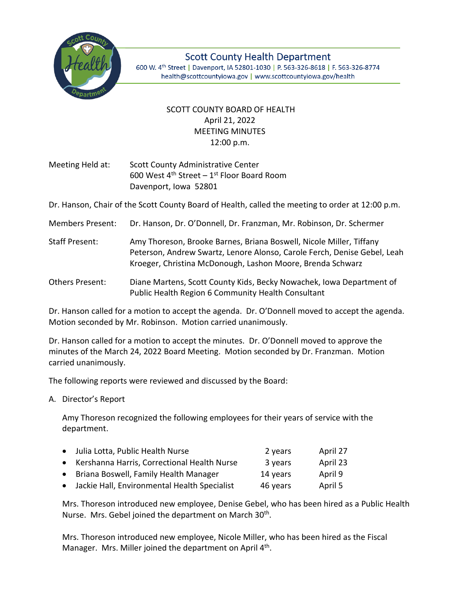

**Scott County Health Department** 600 W. 4th Street | Davenport, IA 52801-1030 | P. 563-326-8618 | F. 563-326-8774 health@scottcountyiowa.gov | www.scottcountyiowa.gov/health

## SCOTT COUNTY BOARD OF HEALTH April 21, 2022 MEETING MINUTES 12:00 p.m.

Meeting Held at: Scott County Administrative Center 600 West  $4^{\text{th}}$  Street – 1st Floor Board Room Davenport, Iowa 52801

Dr. Hanson, Chair of the Scott County Board of Health, called the meeting to order at 12:00 p.m.

- Members Present: Dr. Hanson, Dr. O'Donnell, Dr. Franzman, Mr. Robinson, Dr. Schermer
- Staff Present: Amy Thoreson, Brooke Barnes, Briana Boswell, Nicole Miller, Tiffany Peterson, Andrew Swartz, Lenore Alonso, Carole Ferch, Denise Gebel, Leah Kroeger, Christina McDonough, Lashon Moore, Brenda Schwarz
- Others Present: Diane Martens, Scott County Kids, Becky Nowachek, Iowa Department of Public Health Region 6 Community Health Consultant

Dr. Hanson called for a motion to accept the agenda. Dr. O'Donnell moved to accept the agenda. Motion seconded by Mr. Robinson. Motion carried unanimously.

Dr. Hanson called for a motion to accept the minutes. Dr. O'Donnell moved to approve the minutes of the March 24, 2022 Board Meeting. Motion seconded by Dr. Franzman. Motion carried unanimously.

The following reports were reviewed and discussed by the Board:

A. Director's Report

Amy Thoreson recognized the following employees for their years of service with the department.

| • Julia Lotta, Public Health Nurse             | 2 years  | April 27 |
|------------------------------------------------|----------|----------|
| • Kershanna Harris, Correctional Health Nurse  | 3 years  | April 23 |
| • Briana Boswell, Family Health Manager        | 14 years | April 9  |
| • Jackie Hall, Environmental Health Specialist | 46 years | April 5  |
|                                                |          |          |

Mrs. Thoreson introduced new employee, Denise Gebel, who has been hired as a Public Health Nurse. Mrs. Gebel joined the department on March 30<sup>th</sup>.

Mrs. Thoreson introduced new employee, Nicole Miller, who has been hired as the Fiscal Manager. Mrs. Miller joined the department on April 4<sup>th</sup>.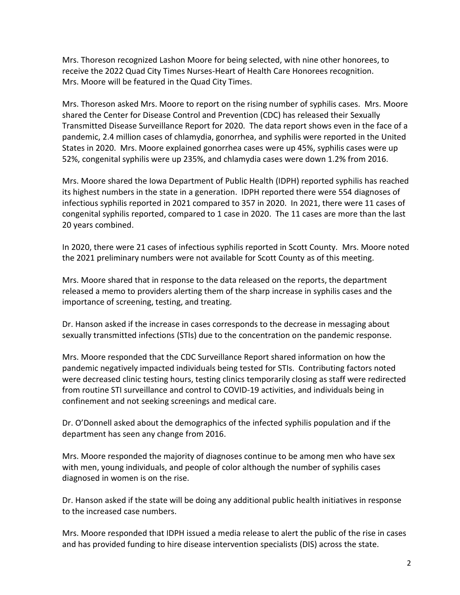Mrs. Thoreson recognized Lashon Moore for being selected, with nine other honorees, to receive the 2022 Quad City Times Nurses-Heart of Health Care Honorees recognition. Mrs. Moore will be featured in the Quad City Times.

Mrs. Thoreson asked Mrs. Moore to report on the rising number of syphilis cases. Mrs. Moore shared the Center for Disease Control and Prevention (CDC) has released their Sexually Transmitted Disease Surveillance Report for 2020. The data report shows even in the face of a pandemic, 2.4 million cases of chlamydia, gonorrhea, and syphilis were reported in the United States in 2020. Mrs. Moore explained gonorrhea cases were up 45%, syphilis cases were up 52%, congenital syphilis were up 235%, and chlamydia cases were down 1.2% from 2016.

Mrs. Moore shared the Iowa Department of Public Health (IDPH) reported syphilis has reached its highest numbers in the state in a generation. IDPH reported there were 554 diagnoses of infectious syphilis reported in 2021 compared to 357 in 2020. In 2021, there were 11 cases of congenital syphilis reported, compared to 1 case in 2020. The 11 cases are more than the last 20 years combined.

In 2020, there were 21 cases of infectious syphilis reported in Scott County. Mrs. Moore noted the 2021 preliminary numbers were not available for Scott County as of this meeting.

Mrs. Moore shared that in response to the data released on the reports, the department released a memo to providers alerting them of the sharp increase in syphilis cases and the importance of screening, testing, and treating.

Dr. Hanson asked if the increase in cases corresponds to the decrease in messaging about sexually transmitted infections (STIs) due to the concentration on the pandemic response.

Mrs. Moore responded that the CDC Surveillance Report shared information on how the pandemic negatively impacted individuals being tested for STIs. Contributing factors noted were decreased clinic testing hours, testing clinics temporarily closing as staff were redirected from routine STI surveillance and control to COVID-19 activities, and individuals being in confinement and not seeking screenings and medical care.

Dr. O'Donnell asked about the demographics of the infected syphilis population and if the department has seen any change from 2016.

Mrs. Moore responded the majority of diagnoses continue to be among men who have sex with men, young individuals, and people of color although the number of syphilis cases diagnosed in women is on the rise.

Dr. Hanson asked if the state will be doing any additional public health initiatives in response to the increased case numbers.

Mrs. Moore responded that IDPH issued a media release to alert the public of the rise in cases and has provided funding to hire disease intervention specialists (DIS) across the state.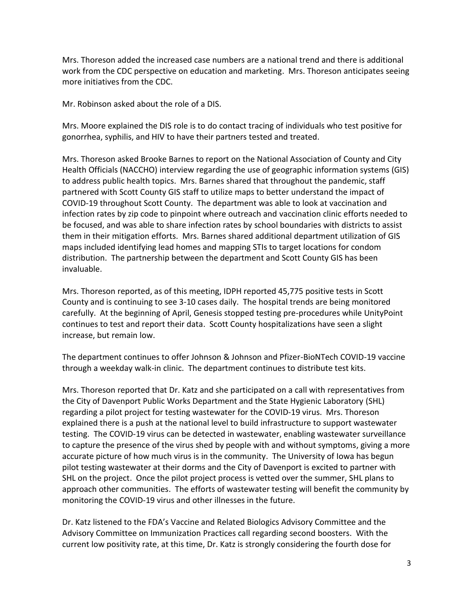Mrs. Thoreson added the increased case numbers are a national trend and there is additional work from the CDC perspective on education and marketing. Mrs. Thoreson anticipates seeing more initiatives from the CDC.

Mr. Robinson asked about the role of a DIS.

Mrs. Moore explained the DIS role is to do contact tracing of individuals who test positive for gonorrhea, syphilis, and HIV to have their partners tested and treated.

Mrs. Thoreson asked Brooke Barnes to report on the National Association of County and City Health Officials (NACCHO) interview regarding the use of geographic information systems (GIS) to address public health topics. Mrs. Barnes shared that throughout the pandemic, staff partnered with Scott County GIS staff to utilize maps to better understand the impact of COVID-19 throughout Scott County. The department was able to look at vaccination and infection rates by zip code to pinpoint where outreach and vaccination clinic efforts needed to be focused, and was able to share infection rates by school boundaries with districts to assist them in their mitigation efforts. Mrs. Barnes shared additional department utilization of GIS maps included identifying lead homes and mapping STIs to target locations for condom distribution. The partnership between the department and Scott County GIS has been invaluable.

Mrs. Thoreson reported, as of this meeting, IDPH reported 45,775 positive tests in Scott County and is continuing to see 3-10 cases daily. The hospital trends are being monitored carefully. At the beginning of April, Genesis stopped testing pre-procedures while UnityPoint continues to test and report their data. Scott County hospitalizations have seen a slight increase, but remain low.

The department continues to offer Johnson & Johnson and Pfizer-BioNTech COVID-19 vaccine through a weekday walk-in clinic. The department continues to distribute test kits.

Mrs. Thoreson reported that Dr. Katz and she participated on a call with representatives from the City of Davenport Public Works Department and the State Hygienic Laboratory (SHL) regarding a pilot project for testing wastewater for the COVID-19 virus. Mrs. Thoreson explained there is a push at the national level to build infrastructure to support wastewater testing. The COVID-19 virus can be detected in wastewater, enabling wastewater surveillance to capture the presence of the virus shed by people with and without symptoms, giving a more accurate picture of how much virus is in the community. The University of Iowa has begun pilot testing wastewater at their dorms and the City of Davenport is excited to partner with SHL on the project. Once the pilot project process is vetted over the summer, SHL plans to approach other communities. The efforts of wastewater testing will benefit the community by monitoring the COVID-19 virus and other illnesses in the future.

Dr. Katz listened to the FDA's Vaccine and Related Biologics Advisory Committee and the Advisory Committee on Immunization Practices call regarding second boosters. With the current low positivity rate, at this time, Dr. Katz is strongly considering the fourth dose for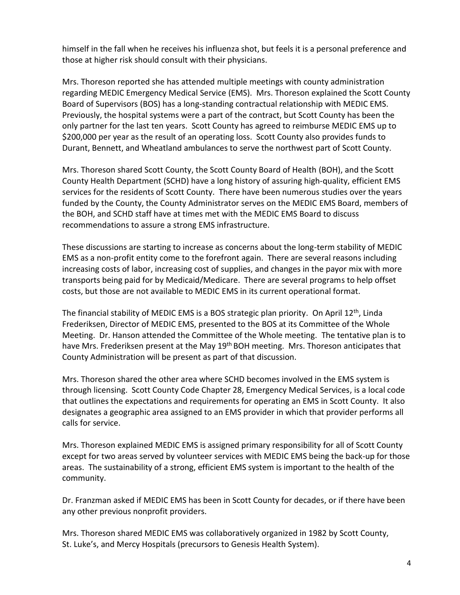himself in the fall when he receives his influenza shot, but feels it is a personal preference and those at higher risk should consult with their physicians.

Mrs. Thoreson reported she has attended multiple meetings with county administration regarding MEDIC Emergency Medical Service (EMS). Mrs. Thoreson explained the Scott County Board of Supervisors (BOS) has a long-standing contractual relationship with MEDIC EMS. Previously, the hospital systems were a part of the contract, but Scott County has been the only partner for the last ten years. Scott County has agreed to reimburse MEDIC EMS up to \$200,000 per year as the result of an operating loss. Scott County also provides funds to Durant, Bennett, and Wheatland ambulances to serve the northwest part of Scott County.

Mrs. Thoreson shared Scott County, the Scott County Board of Health (BOH), and the Scott County Health Department (SCHD) have a long history of assuring high-quality, efficient EMS services for the residents of Scott County. There have been numerous studies over the years funded by the County, the County Administrator serves on the MEDIC EMS Board, members of the BOH, and SCHD staff have at times met with the MEDIC EMS Board to discuss recommendations to assure a strong EMS infrastructure.

These discussions are starting to increase as concerns about the long-term stability of MEDIC EMS as a non-profit entity come to the forefront again. There are several reasons including increasing costs of labor, increasing cost of supplies, and changes in the payor mix with more transports being paid for by Medicaid/Medicare. There are several programs to help offset costs, but those are not available to MEDIC EMS in its current operational format.

The financial stability of MEDIC EMS is a BOS strategic plan priority. On April 12<sup>th</sup>, Linda Frederiksen, Director of MEDIC EMS, presented to the BOS at its Committee of the Whole Meeting. Dr. Hanson attended the Committee of the Whole meeting. The tentative plan is to have Mrs. Frederiksen present at the May 19<sup>th</sup> BOH meeting. Mrs. Thoreson anticipates that County Administration will be present as part of that discussion.

Mrs. Thoreson shared the other area where SCHD becomes involved in the EMS system is through licensing. Scott County Code Chapter 28, Emergency Medical Services, is a local code that outlines the expectations and requirements for operating an EMS in Scott County. It also designates a geographic area assigned to an EMS provider in which that provider performs all calls for service.

Mrs. Thoreson explained MEDIC EMS is assigned primary responsibility for all of Scott County except for two areas served by volunteer services with MEDIC EMS being the back-up for those areas. The sustainability of a strong, efficient EMS system is important to the health of the community.

Dr. Franzman asked if MEDIC EMS has been in Scott County for decades, or if there have been any other previous nonprofit providers.

Mrs. Thoreson shared MEDIC EMS was collaboratively organized in 1982 by Scott County, St. Luke's, and Mercy Hospitals (precursors to Genesis Health System).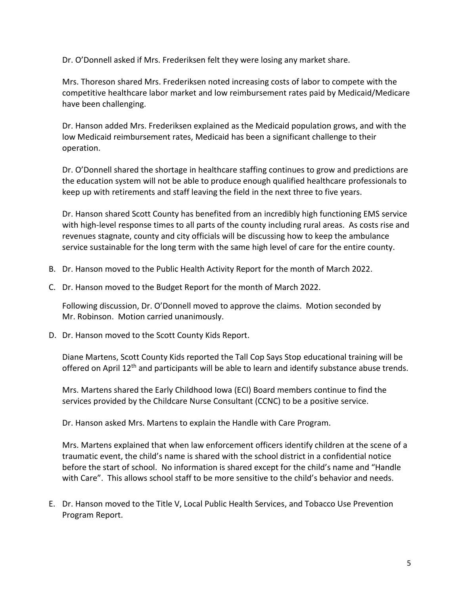Dr. O'Donnell asked if Mrs. Frederiksen felt they were losing any market share.

Mrs. Thoreson shared Mrs. Frederiksen noted increasing costs of labor to compete with the competitive healthcare labor market and low reimbursement rates paid by Medicaid/Medicare have been challenging.

Dr. Hanson added Mrs. Frederiksen explained as the Medicaid population grows, and with the low Medicaid reimbursement rates, Medicaid has been a significant challenge to their operation.

Dr. O'Donnell shared the shortage in healthcare staffing continues to grow and predictions are the education system will not be able to produce enough qualified healthcare professionals to keep up with retirements and staff leaving the field in the next three to five years.

Dr. Hanson shared Scott County has benefited from an incredibly high functioning EMS service with high-level response times to all parts of the county including rural areas. As costs rise and revenues stagnate, county and city officials will be discussing how to keep the ambulance service sustainable for the long term with the same high level of care for the entire county.

- B. Dr. Hanson moved to the Public Health Activity Report for the month of March 2022.
- C. Dr. Hanson moved to the Budget Report for the month of March 2022.

Following discussion, Dr. O'Donnell moved to approve the claims. Motion seconded by Mr. Robinson. Motion carried unanimously.

D. Dr. Hanson moved to the Scott County Kids Report.

Diane Martens, Scott County Kids reported the Tall Cop Says Stop educational training will be offered on April 12<sup>th</sup> and participants will be able to learn and identify substance abuse trends.

Mrs. Martens shared the Early Childhood Iowa (ECI) Board members continue to find the services provided by the Childcare Nurse Consultant (CCNC) to be a positive service.

Dr. Hanson asked Mrs. Martens to explain the Handle with Care Program.

Mrs. Martens explained that when law enforcement officers identify children at the scene of a traumatic event, the child's name is shared with the school district in a confidential notice before the start of school. No information is shared except for the child's name and "Handle with Care". This allows school staff to be more sensitive to the child's behavior and needs.

E. Dr. Hanson moved to the Title V, Local Public Health Services, and Tobacco Use Prevention Program Report.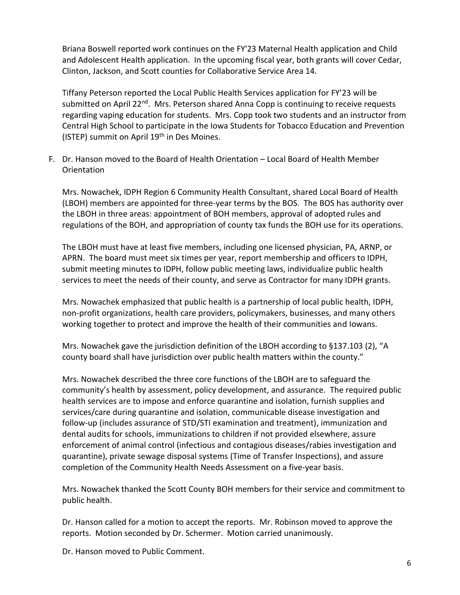Briana Boswell reported work continues on the FY'23 Maternal Health application and Child and Adolescent Health application. In the upcoming fiscal year, both grants will cover Cedar, Clinton, Jackson, and Scott counties for Collaborative Service Area 14.

Tiffany Peterson reported the Local Public Health Services application for FY'23 will be submitted on April 22<sup>nd</sup>. Mrs. Peterson shared Anna Copp is continuing to receive requests regarding vaping education for students. Mrs. Copp took two students and an instructor from Central High School to participate in the Iowa Students for Tobacco Education and Prevention (ISTEP) summit on April 19<sup>th</sup> in Des Moines.

F. Dr. Hanson moved to the Board of Health Orientation – Local Board of Health Member **Orientation** 

Mrs. Nowachek, IDPH Region 6 Community Health Consultant, shared Local Board of Health (LBOH) members are appointed for three-year terms by the BOS. The BOS has authority over the LBOH in three areas: appointment of BOH members, approval of adopted rules and regulations of the BOH, and appropriation of county tax funds the BOH use for its operations.

The LBOH must have at least five members, including one licensed physician, PA, ARNP, or APRN. The board must meet six times per year, report membership and officers to IDPH, submit meeting minutes to IDPH, follow public meeting laws, individualize public health services to meet the needs of their county, and serve as Contractor for many IDPH grants.

Mrs. Nowachek emphasized that public health is a partnership of local public health, IDPH, non-profit organizations, health care providers, policymakers, businesses, and many others working together to protect and improve the health of their communities and Iowans.

Mrs. Nowachek gave the jurisdiction definition of the LBOH according to §137.103 (2), "A county board shall have jurisdiction over public health matters within the county."

Mrs. Nowachek described the three core functions of the LBOH are to safeguard the community's health by assessment, policy development, and assurance. The required public health services are to impose and enforce quarantine and isolation, furnish supplies and services/care during quarantine and isolation, communicable disease investigation and follow-up (includes assurance of STD/STI examination and treatment), immunization and dental audits for schools, immunizations to children if not provided elsewhere, assure enforcement of animal control (infectious and contagious diseases/rabies investigation and quarantine), private sewage disposal systems (Time of Transfer Inspections), and assure completion of the Community Health Needs Assessment on a five-year basis.

Mrs. Nowachek thanked the Scott County BOH members for their service and commitment to public health.

Dr. Hanson called for a motion to accept the reports. Mr. Robinson moved to approve the reports. Motion seconded by Dr. Schermer. Motion carried unanimously.

Dr. Hanson moved to Public Comment.